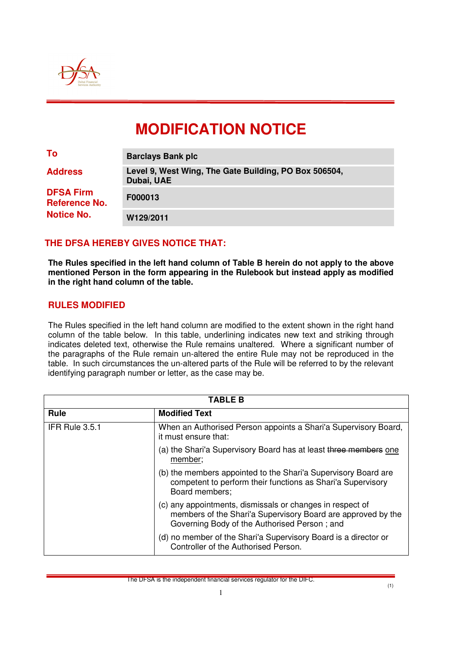

# **MODIFICATION NOTICE**

| To                                       | <b>Barclays Bank plc</b>                                            |
|------------------------------------------|---------------------------------------------------------------------|
| <b>Address</b>                           | Level 9, West Wing, The Gate Building, PO Box 506504,<br>Dubai, UAE |
| <b>DFSA Firm</b><br><b>Reference No.</b> | F000013                                                             |
| <b>Notice No.</b>                        | W129/2011                                                           |

## **THE DFSA HEREBY GIVES NOTICE THAT:**

**The Rules specified in the left hand column of Table B herein do not apply to the above mentioned Person in the form appearing in the Rulebook but instead apply as modified in the right hand column of the table.** 

#### **RULES MODIFIED**

The Rules specified in the left hand column are modified to the extent shown in the right hand column of the table below. In this table, underlining indicates new text and striking through indicates deleted text, otherwise the Rule remains unaltered. Where a significant number of the paragraphs of the Rule remain un-altered the entire Rule may not be reproduced in the table. In such circumstances the un-altered parts of the Rule will be referred to by the relevant identifying paragraph number or letter, as the case may be.

| TABLE B        |                                                                                                                                                                           |  |
|----------------|---------------------------------------------------------------------------------------------------------------------------------------------------------------------------|--|
| <b>Rule</b>    | <b>Modified Text</b>                                                                                                                                                      |  |
| IFR Rule 3.5.1 | When an Authorised Person appoints a Shari'a Supervisory Board,<br>it must ensure that:                                                                                   |  |
|                | (a) the Shari'a Supervisory Board has at least three members one<br>member;                                                                                               |  |
|                | (b) the members appointed to the Shari'a Supervisory Board are<br>competent to perform their functions as Shari'a Supervisory<br>Board members;                           |  |
|                | (c) any appointments, dismissals or changes in respect of<br>members of the Shari'a Supervisory Board are approved by the<br>Governing Body of the Authorised Person; and |  |
|                | (d) no member of the Shari'a Supervisory Board is a director or<br>Controller of the Authorised Person.                                                                   |  |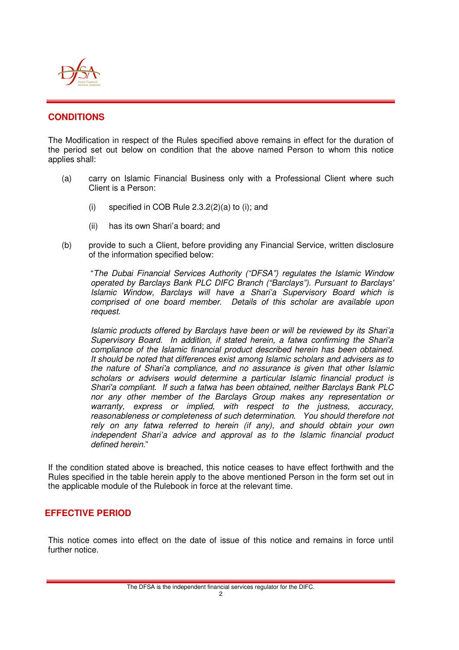

# **CONDITIONS**

The Modification in respect of the Rules specified above remains in effect for the duration of the period set out below on condition that the above named Person to whom this notice applies shall:

- (a) carry on Islamic Financial Business only with a Professional Client where such Client is a Person:
	- (i) specified in COB Rule  $2.3.2(2)(a)$  to (i); and
	- (ii) has its own Shari'a board; and
- (b) provide to such a Client, before providing any Financial Service, written disclosure of the information specified below:

"The Dubai Financial Services Authority ("DFSA") regulates the Islamic Window operated by Barclays Bank PLC DIFC Branch ("Barclays"). Pursuant to Barclays' Islamic Window, Barclays will have a Shari'a Supervisory Board which is comprised of one board member. Details of this scholar are available upon request.

Islamic products offered by Barclays have been or will be reviewed by its Shari'a Supervisory Board. In addition, if stated herein, a fatwa confirming the Shari'a compliance of the Islamic financial product described herein has been obtained. It should be noted that differences exist among Islamic scholars and advisers as to the nature of Shari'a compliance, and no assurance is given that other Islamic scholars or advisers would determine a particular Islamic financial product is Shari'a compliant. If such a fatwa has been obtained, neither Barclays Bank PLC nor any other member of the Barclays Group makes any representation or warranty, express or implied, with respect to the justness, accuracy, reasonableness or completeness of such determination. You should therefore not rely on any fatwa referred to herein (if any), and should obtain your own independent Shari'a advice and approval as to the Islamic financial product defined herein."

If the condition stated above is breached, this notice ceases to have effect forthwith and the Rules specified in the table herein apply to the above mentioned Person in the form set out in the applicable module of the Rulebook in force at the relevant time.

# **EFFECTIVE PERIOD**

This notice comes into effect on the date of issue of this notice and remains in force until further notice.